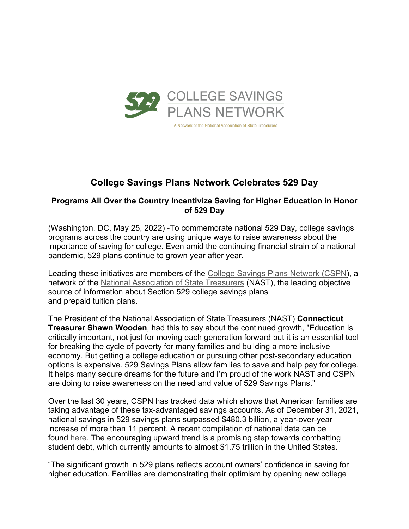

# **College Savings Plans Network Celebrates 529 Day**

## **Programs All Over the Country Incentivize Saving for Higher Education in Honor of 529 Day**

(Washington, DC, May 25, 2022) -To commemorate national 529 Day, college savings programs across the country are using unique ways to raise awareness about the importance of saving for college. Even amid the continuing financial strain of a national pandemic, 529 plans continue to grown year after year.

Leading these initiatives are members of the College Savings Plans Network (CSPN), a network of the National Association of State Treasurers (NAST), the leading objective source of information about Section 529 college savings plans and prepaid tuition plans.

The President of the National Association of State Treasurers (NAST) **Connecticut Treasurer Shawn Wooden**, had this to say about the continued growth, "Education is critically important, not just for moving each generation forward but it is an essential tool for breaking the cycle of poverty for many families and building a more inclusive economy. But getting a college education or pursuing other post-secondary education options is expensive. 529 Savings Plans allow families to save and help pay for college. It helps many secure dreams for the future and I'm proud of the work NAST and CSPN are doing to raise awareness on the need and value of 529 Savings Plans."

Over the last 30 years, CSPN has tracked data which shows that American families are taking advantage of these tax-advantaged savings accounts. As of December 31, 2021, national savings in 529 savings plans surpassed \$480.3 billion, a year-over-year increase of more than 11 percent. A recent compilation of national data can be found here. The encouraging upward trend is a promising step towards combatting student debt, which currently amounts to almost \$1.75 trillion in the United States.

"The significant growth in 529 plans reflects account owners' confidence in saving for higher education. Families are demonstrating their optimism by opening new college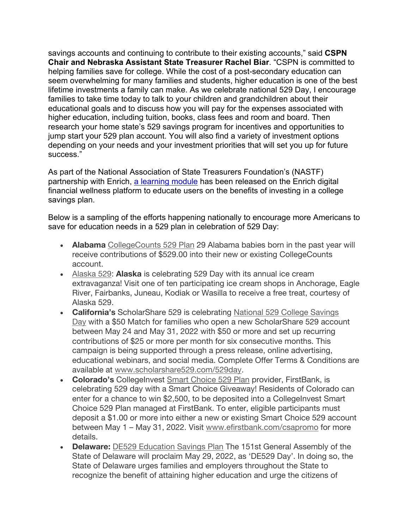savings accounts and continuing to contribute to their existing accounts," said **CSPN Chair and Nebraska Assistant State Treasurer Rachel Biar**. "CSPN is committed to helping families save for college. While the cost of a post-secondary education can seem overwhelming for many families and students, higher education is one of the best lifetime investments a family can make. As we celebrate national 529 Day, I encourage families to take time today to talk to your children and grandchildren about their educational goals and to discuss how you will pay for the expenses associated with higher education, including tuition, books, class fees and room and board. Then research your home state's 529 savings program for incentives and opportunities to jump start your 529 plan account. You will also find a variety of investment options depending on your needs and your investment priorities that will set you up for future success."

As part of the National Association of State Treasurers Foundation's (NASTF) partnership with Enrich, a learning module has been released on the Enrich digital financial wellness platform to educate users on the benefits of investing in a college savings plan.

Below is a sampling of the efforts happening nationally to encourage more Americans to save for education needs in a 529 plan in celebration of 529 Day:

- **Alabama** CollegeCounts 529 Plan 29 Alabama babies born in the past year will receive contributions of \$529.00 into their new or existing CollegeCounts account.
- Alaska 529: **Alaska** is celebrating 529 Day with its annual ice cream extravaganza! Visit one of ten participating ice cream shops in Anchorage, Eagle River, Fairbanks, Juneau, Kodiak or Wasilla to receive a free treat, courtesy of Alaska 529.
- **California's** ScholarShare 529 is celebrating National 529 College Savings Day with a \$50 Match for families who open a new ScholarShare 529 account between May 24 and May 31, 2022 with \$50 or more and set up recurring contributions of \$25 or more per month for six consecutive months. This campaign is being supported through a press release, online advertising, educational webinars, and social media. Complete Offer Terms & Conditions are available at www.scholarshare529.com/529day.
- **Colorado's** CollegeInvest Smart Choice 529 Plan provider, FirstBank, is celebrating 529 day with a Smart Choice Giveaway! Residents of Colorado can enter for a chance to win \$2,500, to be deposited into a CollegeInvest Smart Choice 529 Plan managed at FirstBank. To enter, eligible participants must deposit a \$1.00 or more into either a new or existing Smart Choice 529 account between May 1 – May 31, 2022. Visit www.efirstbank.com/csapromo for more details.
- **Delaware:** DE529 Education Savings Plan The 151st General Assembly of the State of Delaware will proclaim May 29, 2022, as 'DE529 Day'. In doing so, the State of Delaware urges families and employers throughout the State to recognize the benefit of attaining higher education and urge the citizens of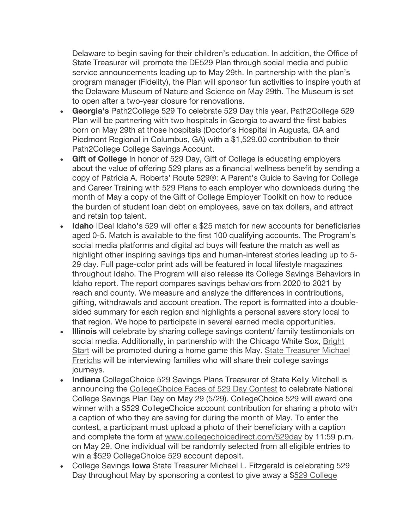Delaware to begin saving for their children's education. In addition, the Office of State Treasurer will promote the DE529 Plan through social media and public service announcements leading up to May 29th. In partnership with the plan's program manager (Fidelity), the Plan will sponsor fun activities to inspire youth at the Delaware Museum of Nature and Science on May 29th. The Museum is set to open after a two-year closure for renovations.

- **Georgia's** Path2College 529 To celebrate 529 Day this year, Path2College 529 Plan will be partnering with two hospitals in Georgia to award the first babies born on May 29th at those hospitals (Doctor's Hospital in Augusta, GA and Piedmont Regional in Columbus, GA) with a \$1,529.00 contribution to their Path2College College Savings Account.
- **Gift of College** In honor of 529 Day, Gift of College is educating employers about the value of offering 529 plans as a financial wellness benefit by sending a copy of Patricia A. Roberts' Route 529®: A Parent's Guide to Saving for College and Career Training with 529 Plans to each employer who downloads during the month of May a copy of the Gift of College Employer Toolkit on how to reduce the burden of student loan debt on employees, save on tax dollars, and attract and retain top talent.
- **Idaho** IDeal Idaho's 529 will offer a \$25 match for new accounts for beneficiaries aged 0-5. Match is available to the first 100 qualifying accounts. The Program's social media platforms and digital ad buys will feature the match as well as highlight other inspiring savings tips and human-interest stories leading up to 5- 29 day. Full page-color print ads will be featured in local lifestyle magazines throughout Idaho. The Program will also release its College Savings Behaviors in Idaho report. The report compares savings behaviors from 2020 to 2021 by reach and county. We measure and analyze the differences in contributions, gifting, withdrawals and account creation. The report is formatted into a doublesided summary for each region and highlights a personal savers story local to that region. We hope to participate in several earned media opportunities.
- **Illinois** will celebrate by sharing college savings content/ family testimonials on social media. Additionally, in partnership with the Chicago White Sox, Bright Start will be promoted during a home game this May. State Treasurer Michael Frerichs will be interviewing families who will share their college savings journeys.
- **Indiana** CollegeChoice 529 Savings Plans Treasurer of State Kelly Mitchell is announcing the CollegeChoice Faces of 529 Day Contest to celebrate National College Savings Plan Day on May 29 (5/29). CollegeChoice 529 will award one winner with a \$529 CollegeChoice account contribution for sharing a photo with a caption of who they are saving for during the month of May. To enter the contest, a participant must upload a photo of their beneficiary with a caption and complete the form at www.collegechoicedirect.com/529day by 11:59 p.m. on May 29. One individual will be randomly selected from all eligible entries to win a \$529 CollegeChoice 529 account deposit.
- College Savings **Iowa** State Treasurer Michael L. Fitzgerald is celebrating 529 Day throughout May by sponsoring a contest to give away a \$529 College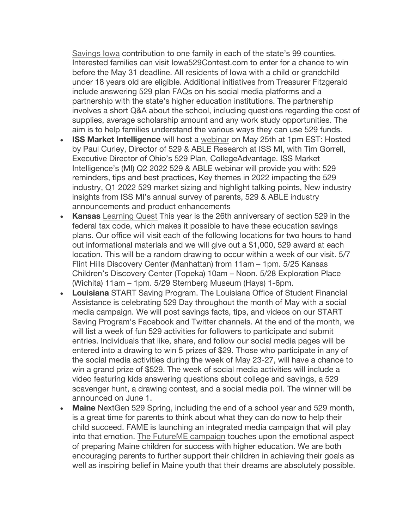Savings Iowa contribution to one family in each of the state's 99 counties. Interested families can visit Iowa529Contest.com to enter for a chance to win before the May 31 deadline. All residents of Iowa with a child or grandchild under 18 years old are eligible. Additional initiatives from Treasurer Fitzgerald include answering 529 plan FAQs on his social media platforms and a partnership with the state's higher education institutions. The partnership involves a short Q&A about the school, including questions regarding the cost of supplies, average scholarship amount and any work study opportunities. The aim is to help families understand the various ways they can use 529 funds.

- **ISS Market Intelligence** will host a webinar on May 25th at 1pm EST: Hosted by Paul Curley, Director of 529 & ABLE Research at ISS MI, with Tim Gorrell, Executive Director of Ohio's 529 Plan, CollegeAdvantage. ISS Market Intelligence's (MI) Q2 2022 529 & ABLE webinar will provide you with: 529 reminders, tips and best practices, Key themes in 2022 impacting the 529 industry, Q1 2022 529 market sizing and highlight talking points, New industry insights from ISS MI's annual survey of parents, 529 & ABLE industry announcements and product enhancements
- **Kansas** Learning Quest This year is the 26th anniversary of section 529 in the federal tax code, which makes it possible to have these education savings plans. Our office will visit each of the following locations for two hours to hand out informational materials and we will give out a \$1,000, 529 award at each location. This will be a random drawing to occur within a week of our visit. 5/7 Flint Hills Discovery Center (Manhattan) from 11am – 1pm. 5/25 Kansas Children's Discovery Center (Topeka) 10am – Noon. 5/28 Exploration Place (Wichita) 11am – 1pm. 5/29 Sternberg Museum (Hays) 1-6pm.
- **Louisiana** START Saving Program. The Louisiana Office of Student Financial Assistance is celebrating 529 Day throughout the month of May with a social media campaign. We will post savings facts, tips, and videos on our START Saving Program's Facebook and Twitter channels. At the end of the month, we will list a week of fun 529 activities for followers to participate and submit entries. Individuals that like, share, and follow our social media pages will be entered into a drawing to win 5 prizes of \$29. Those who participate in any of the social media activities during the week of May 23-27, will have a chance to win a grand prize of \$529. The week of social media activities will include a video featuring kids answering questions about college and savings, a 529 scavenger hunt, a drawing contest, and a social media poll. The winner will be announced on June 1.
- **Maine** NextGen 529 Spring, including the end of a school year and 529 month, is a great time for parents to think about what they can do now to help their child succeed. FAME is launching an integrated media campaign that will play into that emotion. The FutureME campaign touches upon the emotional aspect of preparing Maine children for success with higher education. We are both encouraging parents to further support their children in achieving their goals as well as inspiring belief in Maine youth that their dreams are absolutely possible.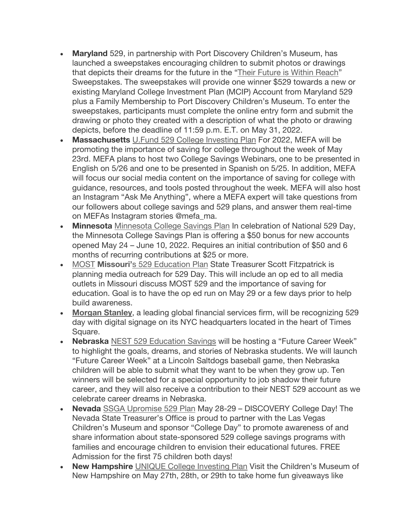- **Maryland** 529, in partnership with Port Discovery Children's Museum, has launched a sweepstakes encouraging children to submit photos or drawings that depicts their dreams for the future in the "Their Future is Within Reach" Sweepstakes. The sweepstakes will provide one winner \$529 towards a new or existing Maryland College Investment Plan (MCIP) Account from Maryland 529 plus a Family Membership to Port Discovery Children's Museum. To enter the sweepstakes, participants must complete the online entry form and submit the drawing or photo they created with a description of what the photo or drawing depicts, before the deadline of 11:59 p.m. E.T. on May 31, 2022.
- **Massachusetts** U.Fund 529 College Investing Plan For 2022, MEFA will be promoting the importance of saving for college throughout the week of May 23rd. MEFA plans to host two College Savings Webinars, one to be presented in English on 5/26 and one to be presented in Spanish on 5/25. In addition, MEFA will focus our social media content on the importance of saving for college with guidance, resources, and tools posted throughout the week. MEFA will also host an Instagram "Ask Me Anything", where a MEFA expert will take questions from our followers about college savings and 529 plans, and answer them real-time on MEFAs Instagram stories @mefa\_ma.
- **Minnesota** Minnesota College Savings Plan In celebration of National 529 Day, the Minnesota College Savings Plan is offering a \$50 bonus for new accounts opened May 24 – June 10, 2022. Requires an initial contribution of \$50 and 6 months of recurring contributions at \$25 or more.
- MOST **Missouri'**s 529 Education Plan State Treasurer Scott Fitzpatrick is planning media outreach for 529 Day. This will include an op ed to all media outlets in Missouri discuss MOST 529 and the importance of saving for education. Goal is to have the op ed run on May 29 or a few days prior to help build awareness.
- **Morgan Stanley**, a leading global financial services firm, will be recognizing 529 day with digital signage on its NYC headquarters located in the heart of Times Square.
- **Nebraska** NEST 529 Education Savings will be hosting a "Future Career Week" to highlight the goals, dreams, and stories of Nebraska students. We will launch "Future Career Week" at a Lincoln Saltdogs baseball game, then Nebraska children will be able to submit what they want to be when they grow up. Ten winners will be selected for a special opportunity to job shadow their future career, and they will also receive a contribution to their NEST 529 account as we celebrate career dreams in Nebraska.
- **Nevada** SSGA Upromise 529 Plan May 28-29 DISCOVERY College Day! The Nevada State Treasurer's Office is proud to partner with the Las Vegas Children's Museum and sponsor "College Day" to promote awareness of and share information about state-sponsored 529 college savings programs with families and encourage children to envision their educational futures. FREE Admission for the first 75 children both days!
- **New Hampshire** UNIQUE College Investing Plan Visit the Children's Museum of New Hampshire on May 27th, 28th, or 29th to take home fun giveaways like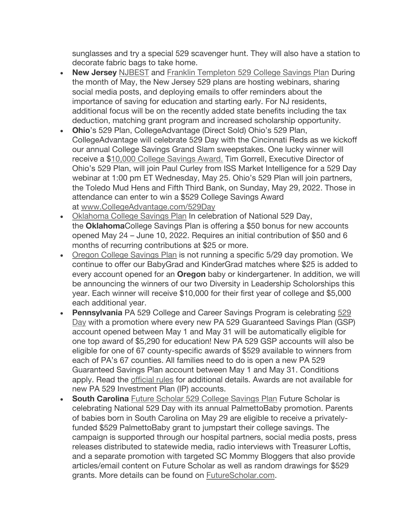sunglasses and try a special 529 scavenger hunt. They will also have a station to decorate fabric bags to take home.

- **New Jersey** NJBEST and Franklin Templeton 529 College Savings Plan During the month of May, the New Jersey 529 plans are hosting webinars, sharing social media posts, and deploying emails to offer reminders about the importance of saving for education and starting early. For NJ residents, additional focus will be on the recently added state benefits including the tax deduction, matching grant program and increased scholarship opportunity.
- **Ohio**'s 529 Plan, CollegeAdvantage (Direct Sold) Ohio's 529 Plan, CollegeAdvantage will celebrate 529 Day with the Cincinnati Reds as we kickoff our annual College Savings Grand Slam sweepstakes. One lucky winner will receive a \$10,000 College Savings Award. Tim Gorrell, Executive Director of Ohio's 529 Plan, will join Paul Curley from ISS Market Intelligence for a 529 Day webinar at 1:00 pm ET Wednesday, May 25. Ohio's 529 Plan will join partners, the Toledo Mud Hens and Fifth Third Bank, on Sunday, May 29, 2022. Those in attendance can enter to win a \$529 College Savings Award at www.CollegeAdvantage.com/529Day
- Oklahoma College Savings Plan In celebration of National 529 Day, the **Oklahoma**College Savings Plan is offering a \$50 bonus for new accounts opened May 24 – June 10, 2022. Requires an initial contribution of \$50 and 6 months of recurring contributions at \$25 or more.
- Oregon College Savings Plan is not running a specific 5/29 day promotion. We continue to offer our BabyGrad and KinderGrad matches where \$25 is added to every account opened for an **Oregon** baby or kindergartener. In addition, we will be announcing the winners of our two Diversity in Leadership Scholorships this year. Each winner will receive \$10,000 for their first year of college and \$5,000 each additional year.
- **Pennsylvania** PA 529 College and Career Savings Program is celebrating 529 Day with a promotion where every new PA 529 Guaranteed Savings Plan (GSP) account opened between May 1 and May 31 will be automatically eligible for one top award of \$5,290 for education! New PA 529 GSP accounts will also be eligible for one of 67 county-specific awards of \$529 available to winners from each of PA's 67 counties. All families need to do is open a new PA 529 Guaranteed Savings Plan account between May 1 and May 31. Conditions apply. Read the official rules for additional details. Awards are not available for new PA 529 Investment Plan (IP) accounts.
- **South Carolina** Future Scholar 529 College Savings Plan Future Scholar is celebrating National 529 Day with its annual PalmettoBaby promotion. Parents of babies born in South Carolina on May 29 are eligible to receive a privatelyfunded \$529 PalmettoBaby grant to jumpstart their college savings. The campaign is supported through our hospital partners, social media posts, press releases distributed to statewide media, radio interviews with Treasurer Loftis, and a separate promotion with targeted SC Mommy Bloggers that also provide articles/email content on Future Scholar as well as random drawings for \$529 grants. More details can be found on FutureScholar.com.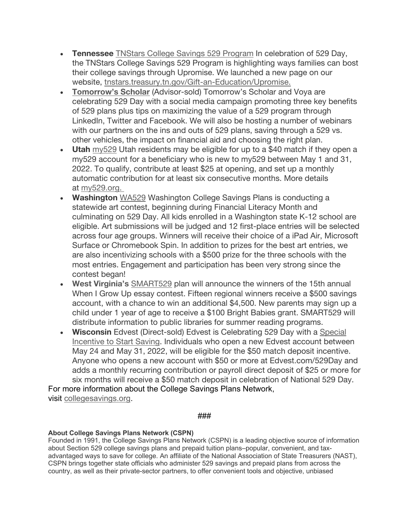- **Tennessee** TNStars College Savings 529 Program In celebration of 529 Day, the TNStars College Savings 529 Program is highlighting ways families can bost their college savings through Upromise. We launched a new page on our website, tnstars.treasury.tn.gov/Gift-an-Education/Upromise.
- **Tomorrow's Scholar** (Advisor-sold) Tomorrow's Scholar and Voya are celebrating 529 Day with a social media campaign promoting three key benefits of 529 plans plus tips on maximizing the value of a 529 program through LinkedIn, Twitter and Facebook. We will also be hosting a number of webinars with our partners on the ins and outs of 529 plans, saving through a 529 vs. other vehicles, the impact on financial aid and choosing the right plan.
- **Utah** my529 Utah residents may be eligible for up to a \$40 match if they open a my529 account for a beneficiary who is new to my529 between May 1 and 31, 2022. To qualify, contribute at least \$25 at opening, and set up a monthly automatic contribution for at least six consecutive months. More details at my529.org.
- **Washington** WA529 Washington College Savings Plans is conducting a statewide art contest, beginning during Financial Literacy Month and culminating on 529 Day. All kids enrolled in a Washington state K-12 school are eligible. Art submissions will be judged and 12 first-place entries will be selected across four age groups. Winners will receive their choice of a iPad Air, Microsoft Surface or Chromebook Spin. In addition to prizes for the best art entries, we are also incentivizing schools with a \$500 prize for the three schools with the most entries. Engagement and participation has been very strong since the contest began!
- **West Virginia's** SMART529 plan will announce the winners of the 15th annual When I Grow Up essay contest. Fifteen regional winners receive a \$500 savings account, with a chance to win an additional \$4,500. New parents may sign up a child under 1 year of age to receive a \$100 Bright Babies grant. SMART529 will distribute information to public libraries for summer reading programs.
- **Wisconsin** Edvest (Direct-sold) Edvest is Celebrating 529 Day with a Special Incentive to Start Saving. Individuals who open a new Edvest account between May 24 and May 31, 2022, will be eligible for the \$50 match deposit incentive. Anyone who opens a new account with \$50 or more at Edvest.com/529Day and adds a monthly recurring contribution or payroll direct deposit of \$25 or more for six months will receive a \$50 match deposit in celebration of National 529 Day.

For more information about the College Savings Plans Network, visit collegesavings.org.

### ###

## **About College Savings Plans Network (CSPN)**

Founded in 1991, the College Savings Plans Network (CSPN) is a leading objective source of information about Section 529 college savings plans and prepaid tuition plans–popular, convenient, and taxadvantaged ways to save for college. An affiliate of the National Association of State Treasurers (NAST), CSPN brings together state officials who administer 529 savings and prepaid plans from across the country, as well as their private-sector partners, to offer convenient tools and objective, unbiased